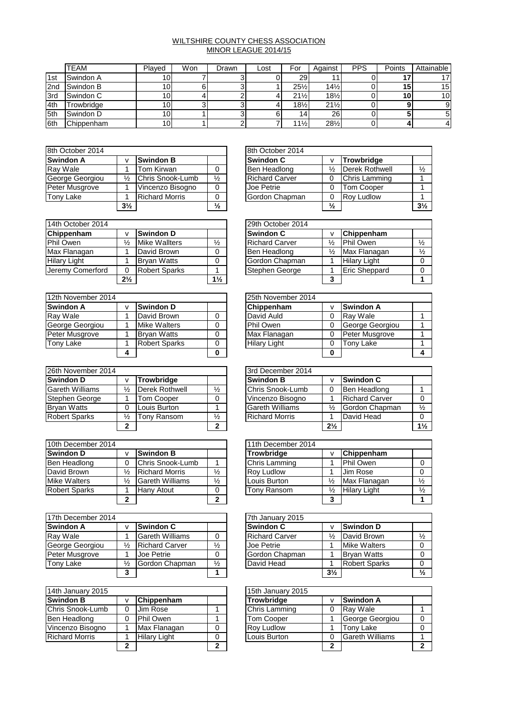## WILTSHIRE COUNTY CHESS ASSOCIATION MINOR LEAGUE 2014/15

|            | <b>TEAM</b> | Plaved          | Won | Drawn | Lost | For             | Against         | <b>PPS</b> | Points | Attainable      |
|------------|-------------|-----------------|-----|-------|------|-----------------|-----------------|------------|--------|-----------------|
| 1st        | Swindon A   | 10.             |     |       |      | <b>29</b>       |                 |            |        |                 |
| 2nd        | Swindon B   | 10              |     |       |      | $25\frac{1}{2}$ | $14\frac{1}{2}$ |            | 15     | 15 <sub>1</sub> |
| 3rd        | Swindon C   | 10.             |     |       |      | $21\frac{1}{2}$ | $18\frac{1}{2}$ |            | 10     | 10 <sup>1</sup> |
| 4th        | Trowbridge  | 10 <sub>1</sub> |     |       |      | $18\frac{1}{2}$ | $21\frac{1}{2}$ |            |        |                 |
| <b>5th</b> | Swindon D   | 10 <sub>1</sub> |     |       |      | 14ı             | 26 <sup>1</sup> |            |        |                 |
| 6th        | Chippenham  | 10.             |     |       |      | $11\frac{1}{2}$ | 281/2           |            |        |                 |

| 8th October 2014 |                |                       |               | 8th October 2014      |               |                   |
|------------------|----------------|-----------------------|---------------|-----------------------|---------------|-------------------|
| <b>Swindon A</b> | v              | <b>Swindon B</b>      |               | <b>Swindon C</b>      |               | Trowbridge        |
| Ray Wale         |                | Tom Kirwan            | 0             | Ben Headlong          | ℅             | Derek Rothy       |
| George Georgiou  | $\frac{1}{2}$  | Chris Snook-Lumb      | $\frac{1}{2}$ | <b>Richard Carver</b> |               | Chris Lammi       |
| Peter Musgrove   |                | Vincenzo Bisogno      | 0             | Joe Petrie            |               | <b>Tom Cooper</b> |
| <b>Tony Lake</b> |                | <b>Richard Morris</b> | 0             | Gordon Chapman        |               | <b>Rov Ludlow</b> |
|                  | $3\frac{1}{2}$ |                       | $\frac{1}{2}$ |                       | $\frac{1}{2}$ |                   |

|                |                       |               | 8th October 2014      |               |                      |                |
|----------------|-----------------------|---------------|-----------------------|---------------|----------------------|----------------|
| $\mathbf v$    | <b>Swindon B</b>      |               | <b>Swindon C</b>      |               | Trowbridge           |                |
|                | Tom Kirwan            |               | Ben Headlong          | $\frac{1}{2}$ | Derek Rothwell       | $\frac{1}{2}$  |
| $\frac{1}{2}$  | Chris Snook-Lumb      | $\frac{1}{2}$ | <b>Richard Carver</b> |               | <b>Chris Lamming</b> |                |
|                | Vincenzo Bisogno      |               | Joe Petrie            |               | <b>Tom Cooper</b>    |                |
|                | <b>Richard Morris</b> |               | Gordon Chapman        |               | <b>Rov Ludlow</b>    |                |
| $3\frac{1}{2}$ |                       | $\frac{1}{2}$ |                       | $\frac{1}{2}$ |                      | $3\frac{1}{2}$ |

| 14th October 2014   |                |                      | 29th October 2014 |  |                       |               |                      |
|---------------------|----------------|----------------------|-------------------|--|-----------------------|---------------|----------------------|
| Chippenham          |                | <b>Swindon D</b>     |                   |  | <b>Swindon C</b>      |               | Chippenham           |
| Phil Owen           | $\frac{1}{2}$  | <b>Mike Wallters</b> | $\frac{1}{2}$     |  | <b>Richard Carver</b> | $\frac{1}{2}$ | Phil Owen            |
| Max Flanagan        |                | David Brown          | 0                 |  | Ben Headlong          | $\frac{1}{2}$ | Max Flanagan         |
| <b>Hilary Light</b> |                | <b>Brvan Watts</b>   | 0                 |  | Gordon Chapman        |               | <b>Hilary Light</b>  |
| Jeremy Comerford    |                | <b>Robert Sparks</b> |                   |  | Stephen George        |               | <b>Eric Sheppard</b> |
|                     | $2\frac{1}{2}$ |                      | $1\frac{1}{2}$    |  |                       | 3             |                      |

| 12th November 2014 |                      |   | 25th November 2014  |   |                  |  |  |
|--------------------|----------------------|---|---------------------|---|------------------|--|--|
| <b>Swindon A</b>   | <b>Swindon D</b>     |   | Chippenham          |   | <b>Swindon A</b> |  |  |
| Ray Wale           | David Brown          | 0 | David Auld          |   | Rav Wale         |  |  |
| George Georgiou    | <b>Mike Walters</b>  | 0 | Phil Owen           |   | George Georgiou  |  |  |
| Peter Musgrove     | <b>Bryan Watts</b>   | 0 | Max Flanagan        |   | Peter Musgrove   |  |  |
| <b>Tony Lake</b>   | <b>Robert Sparks</b> | 0 | <b>Hilary Light</b> |   | Tony Lake        |  |  |
|                    |                      | 0 |                     | 0 |                  |  |  |

| 26th November 2014     |               |                   |               | 3rd December 2014      |                |                       |
|------------------------|---------------|-------------------|---------------|------------------------|----------------|-----------------------|
| Swindon D              |               | <b>Trowbridge</b> |               | <b>Swindon B</b>       |                | <b>Swindon C</b>      |
| <b>Gareth Williams</b> | $\frac{1}{2}$ | Derek Rothwell    | $\frac{1}{2}$ | Chris Snook-Lumb       |                | Ben Headlong          |
| Stephen George         |               | Tom Cooper        | 0             | Vincenzo Bisogno       |                | <b>Richard Carver</b> |
| <b>Bryan Watts</b>     |               | Louis Burton      |               | <b>Gareth Williams</b> | $\frac{1}{2}$  | Gordon Chapman        |
| <b>Robert Sparks</b>   | ⅛             | Tony Ransom       | $\frac{1}{2}$ | <b>Richard Morris</b>  |                | David Head            |
|                        | ∍             |                   | າ             |                        | $2\frac{1}{2}$ |                       |

|                      |   |                        | 10th December 2014 |  |                   |               |                     |  |  |
|----------------------|---|------------------------|--------------------|--|-------------------|---------------|---------------------|--|--|
| <b>Swindon D</b>     |   | <b>Swindon B</b>       |                    |  | Trowbridge        |               | <b>Chippenham</b>   |  |  |
| Ben Headlong         |   | Chris Snook-Lumb       |                    |  | Chris Lamming     |               | Phil Owen           |  |  |
| David Brown          | ⅓ | <b>Richard Morris</b>  | $\frac{1}{2}$      |  | <b>Rov Ludlow</b> |               | Jim Rose            |  |  |
| <b>Mike Walters</b>  | ⅓ | <b>Gareth Williams</b> | $\frac{1}{2}$      |  | Louis Burton      | $\frac{1}{2}$ | Max Flanagan        |  |  |
| <b>Robert Sparks</b> |   | <b>Hany Atout</b>      |                    |  | Tony Ransom       | ⅓             | <b>Hilary Light</b> |  |  |
|                      | າ |                        |                    |  |                   |               |                     |  |  |

| 17th December 2014 |               |                        |               | 7th January 2015 |                       |                |                      |  |
|--------------------|---------------|------------------------|---------------|------------------|-----------------------|----------------|----------------------|--|
| <b>Swindon A</b>   |               | <b>Swindon C</b>       |               |                  | <b>Swindon C</b>      |                | <b>Swindon D</b>     |  |
| Ray Wale           |               | <b>Gareth Williams</b> |               |                  | <b>Richard Carver</b> | $\frac{1}{2}$  | David Brown          |  |
| George Georgiou    | $\frac{1}{2}$ | <b>Richard Carver</b>  | $\frac{1}{2}$ |                  | Joe Petrie            |                | <b>Mike Walters</b>  |  |
| Peter Musgrove     |               | Joe Petrie             |               |                  | Gordon Chapman        |                | <b>Brvan Watts</b>   |  |
| <b>Tony Lake</b>   | ⅓             | Gordon Chapman         | $\frac{1}{2}$ |                  | David Head            |                | <b>Robert Sparks</b> |  |
|                    | 3             |                        |               |                  |                       | $3\frac{1}{2}$ |                      |  |

| 14th January 2015     |   |                     |   | 15th January 2015 |   |                        |  |  |
|-----------------------|---|---------------------|---|-------------------|---|------------------------|--|--|
| <b>Swindon B</b>      |   | Chippenham          |   | <b>Trowbridge</b> |   | <b>Swindon A</b>       |  |  |
| Chris Snook-Lumb      |   | Jim Rose            |   | Chris Lamming     |   | <b>Rav Wale</b>        |  |  |
| <b>Ben Headlong</b>   |   | Phil Owen           |   | <b>Tom Cooper</b> |   | George Georgiou        |  |  |
| Vincenzo Bisogno      |   | Max Flanagan        | 0 | <b>Rov Ludlow</b> |   | Tony Lake              |  |  |
| <b>Richard Morris</b> |   | <b>Hilary Light</b> | 0 | Louis Burton      |   | <b>Gareth Williams</b> |  |  |
|                       | ≘ |                     | ◠ |                   | ≘ |                        |  |  |

|                |                      |                | 29th October 2014     |   |                      |               |
|----------------|----------------------|----------------|-----------------------|---|----------------------|---------------|
| $\mathsf{v}$   | <b>Swindon D</b>     |                | <b>Swindon C</b>      |   | Chippenham           |               |
| $\frac{1}{2}$  | <b>Mike Wallters</b> | $\frac{1}{2}$  | <b>Richard Carver</b> | ⅓ | <b>Phil Owen</b>     | $\frac{1}{2}$ |
|                | David Brown          |                | Ben Headlong          | ⅓ | Max Flanagan         | $\frac{1}{2}$ |
|                | <b>Brvan Watts</b>   |                | Gordon Chapman        |   | <b>Hilary Light</b>  |               |
| $\Omega$       | <b>Robert Sparks</b> |                | Stephen George        |   | <b>Eric Sheppard</b> |               |
| $2\frac{1}{2}$ |                      | $1\frac{1}{2}$ |                       | 2 |                      |               |

|   |                      | 25th November 2014  |   |                  |  |
|---|----------------------|---------------------|---|------------------|--|
| v | <b>Swindon D</b>     | Chippenham          |   | <b>Swindon A</b> |  |
|   | David Brown          | David Auld          |   | Rav Wale         |  |
|   | <b>Mike Walters</b>  | Phil Owen           |   | George Georgiou  |  |
|   | <b>Brvan Watts</b>   | Max Flanagan        |   | Peter Musgrove   |  |
|   | <b>Robert Sparks</b> | <b>Hilary Light</b> |   | Tony Lake        |  |
| 4 |                      |                     | 0 |                  |  |

|              |                   |               | 3rd December 2014      |                |                       |                |
|--------------|-------------------|---------------|------------------------|----------------|-----------------------|----------------|
| v            | <b>Trowbridge</b> |               | <b>Swindon B</b>       |                | <b>Swindon C</b>      |                |
| ⅓            | Derek Rothwell    | $\frac{1}{2}$ | Chris Snook-Lumb       |                | Ben Headlong          |                |
|              | <b>Tom Cooper</b> |               | Vincenzo Bisogno       |                | <b>Richard Carver</b> |                |
| 0            | Louis Burton      |               | <b>Gareth Williams</b> | $\frac{1}{2}$  | Gordon Chapman        | $\frac{1}{2}$  |
| ⅛            | Tony Ransom       | $\frac{1}{2}$ | <b>Richard Morris</b>  |                | David Head            |                |
| $\mathbf{2}$ |                   | າ             |                        | $2\frac{1}{2}$ |                       | $1\frac{1}{2}$ |

|               |                        |               | 11th December 2014 |               |                     |               |
|---------------|------------------------|---------------|--------------------|---------------|---------------------|---------------|
| v             | <b>Swindon B</b>       |               | <b>Trowbridge</b>  |               | Chippenham          |               |
| 0             | Chris Snook-Lumb       |               | Chris Lamming      |               | Phil Owen           |               |
| $\frac{1}{2}$ | <b>Richard Morris</b>  | $\frac{1}{2}$ | <b>Roy Ludlow</b>  |               | Jim Rose            |               |
| ⅛             | <b>Gareth Williams</b> | $\frac{1}{2}$ | Louis Burton       | $\frac{1}{2}$ | Max Flanagan        | $\frac{1}{2}$ |
| 1             | <b>Hany Atout</b>      | 0             | Tony Ransom        | ⅓             | <b>Hilary Light</b> | $\frac{1}{2}$ |
| $\mathbf{2}$  |                        | າ             |                    | 3             |                     |               |

|               |                        |               | 7th January 2015      |                |                      |               |
|---------------|------------------------|---------------|-----------------------|----------------|----------------------|---------------|
| v             | <b>Swindon C</b>       |               | <b>Swindon C</b>      |                | <b>Swindon D</b>     |               |
|               | <b>Gareth Williams</b> |               | <b>Richard Carver</b> | $\frac{1}{2}$  | David Brown          | $\frac{1}{2}$ |
| $\frac{1}{2}$ | <b>Richard Carver</b>  | $\frac{1}{2}$ | Joe Petrie            |                | <b>Mike Walters</b>  |               |
|               | Joe Petrie             | 0             | Gordon Chapman        |                | <b>Bryan Watts</b>   |               |
| 1⁄2           | Gordon Chapman         | $\frac{1}{2}$ | David Head            |                | <b>Robert Sparks</b> |               |
| 3             |                        |               |                       | $3\frac{1}{2}$ |                      | $\frac{1}{2}$ |

|   |                     |   | 15th January 2015 |                        |  |
|---|---------------------|---|-------------------|------------------------|--|
| v | Chippenham          |   | <b>Trowbridge</b> | <b>Swindon A</b>       |  |
| 0 | Jim Rose            |   | Chris Lamming     | Ray Wale               |  |
| 0 | Phil Owen           |   | <b>Tom Cooper</b> | George Georgiou        |  |
|   | Max Flanagan        |   | Rov Ludlow        | <b>Tony Lake</b>       |  |
|   | <b>Hilary Light</b> |   | Louis Burton      | <b>Gareth Williams</b> |  |
| 2 |                     | ◠ |                   |                        |  |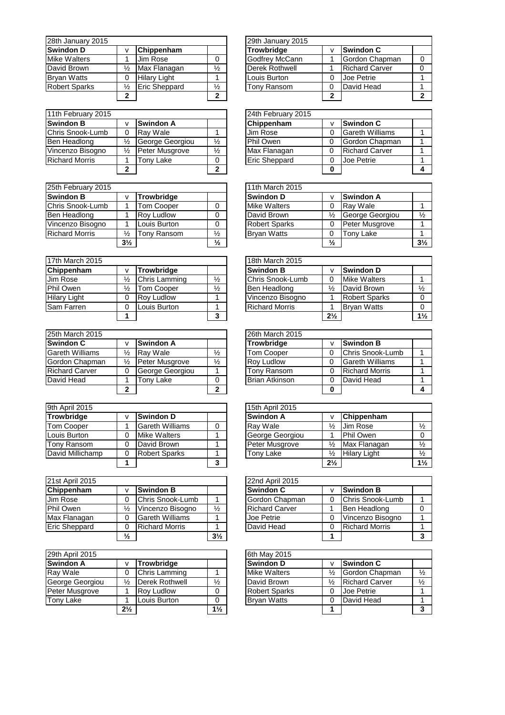| 28th January 2015    |   |                      |               | 29th January 2015 |                |  |
|----------------------|---|----------------------|---------------|-------------------|----------------|--|
| <b>Swindon D</b>     |   | Chippenham           |               | <b>Trowbridge</b> | v              |  |
| <b>Mike Walters</b>  |   | Jim Rose             |               | Godfrey McCann    | 1              |  |
| David Brown          | ⅓ | Max Flanagan         | $\frac{1}{2}$ | Derek Rothwell    |                |  |
| <b>Bryan Watts</b>   |   | <b>Hilary Light</b>  |               | Louis Burton      | $\Omega$       |  |
| <b>Robert Sparks</b> | ⅓ | <b>Eric Sheppard</b> | $\frac{1}{2}$ | Tony Ransom       | $\Omega$       |  |
|                      | າ |                      | າ             |                   | $\overline{2}$ |  |

| 11th February 2015    |   |                  |               | 24th February 2015   |          |
|-----------------------|---|------------------|---------------|----------------------|----------|
| <b>Swindon B</b>      |   | <b>Swindon A</b> |               | Chippenham           | v        |
| Chris Snook-Lumb      |   | Ray Wale         |               | Jim Rose             | $\Omega$ |
| Ben Headlong          | ⅓ | George Georgiou  | $\frac{1}{2}$ | Phil Owen            | $\Omega$ |
| Vincenzo Bisogno      |   | Peter Musgrove   | $\frac{1}{2}$ | Max Flanagan         | $\Omega$ |
| <b>Richard Morris</b> |   | Tonv Lake        |               | <b>Eric Sheppard</b> | 0        |
|                       | າ |                  | າ             |                      | 0        |

| 25th February 2015    |                |                   |               | 11th March 2015      |               |
|-----------------------|----------------|-------------------|---------------|----------------------|---------------|
| <b>Swindon B</b>      |                | <b>Trowbridge</b> |               | <b>Swindon D</b>     | v             |
| Chris Snook-Lumb      |                | <b>Tom Cooper</b> |               | <b>Mike Walters</b>  | $\Omega$      |
| Ben Headlong          |                | <b>Roy Ludlow</b> |               | David Brown          | $\frac{1}{2}$ |
| Vincenzo Bisogno      |                | Louis Burton      |               | <b>Robert Sparks</b> | $\Omega$      |
| <b>Richard Morris</b> | $\frac{1}{2}$  | Tony Ransom       | $\frac{1}{2}$ | <b>Bryan Watts</b>   | $\Omega$      |
|                       | $3\frac{1}{2}$ |                   | $\frac{1}{2}$ |                      | $\frac{1}{2}$ |

| 17th March 2015     |   |                   | 18th March 2015 |                       |                |                      |
|---------------------|---|-------------------|-----------------|-----------------------|----------------|----------------------|
| Chippenham          |   | <b>Trowbridge</b> |                 | <b>Swindon B</b>      | ۷              | <b>Swindon D</b>     |
| Jim Rose            | ⅓ | Chris Lamming     | $\frac{1}{2}$   | Chris Snook-Lumb      | 0              | <b>Mike Walters</b>  |
| Phil Owen           | ⅓ | Гот Cooper        | $\frac{1}{2}$   | Ben Headlong          | $\frac{1}{2}$  | David Brown          |
| <b>Hilary Light</b> |   | <b>Rov Ludlow</b> |                 | Vincenzo Bisogno      |                | <b>Robert Sparks</b> |
| <b>Sam Farren</b>   |   | Louis Burton      |                 | <b>Richard Morris</b> |                | <b>Brvan Watts</b>   |
|                     |   |                   | ◠               |                       | $2\frac{1}{2}$ |                      |

| 25th March 2015        |               |                  | 26th March 2015 |                       |   |                        |  |
|------------------------|---------------|------------------|-----------------|-----------------------|---|------------------------|--|
| <b>Swindon C</b>       |               | <b>Swindon A</b> |                 | <b>Trowbridge</b>     |   | <b>Swindon B</b>       |  |
| <b>Gareth Williams</b> | $\frac{1}{2}$ | Ray Wale         | $\frac{1}{2}$   | <b>Tom Cooper</b>     |   | Chris Snook-Lumb       |  |
| Gordon Chapman         | $\frac{1}{2}$ | Peter Musgrove   | $\frac{1}{2}$   | <b>Rov Ludlow</b>     |   | <b>Gareth Williams</b> |  |
| <b>Richard Carver</b>  |               | George Georgiou  |                 | Tony Ransom           | 0 | <b>Richard Morris</b>  |  |
| David Head             |               | Гоnv Lake        | 0               | <b>Brian Atkinson</b> |   | David Head             |  |
|                        | ◠             |                  | ົ               |                       | 0 |                        |  |

| 9th April 2015    |                        | 15th April 2015 |                  |                |                     |  |
|-------------------|------------------------|-----------------|------------------|----------------|---------------------|--|
| Trowbridge        | <b>Swindon D</b>       |                 | <b>Swindon A</b> |                | Chippenham          |  |
| <b>Tom Cooper</b> | <b>Gareth Williams</b> |                 | Rav Wale         | $\frac{1}{2}$  | Jim Rose            |  |
| Louis Burton      | <b>Mike Walters</b>    |                 | George Georgiou  |                | Phil Owen           |  |
| Tony Ransom       | David Brown            |                 | Peter Musgrove   | $\frac{1}{2}$  | Max Flanagan        |  |
| David Millichamp  | <b>Robert Sparks</b>   |                 | Tony Lake        | $\frac{1}{2}$  | <b>Hilary Light</b> |  |
|                   |                        | ິ               |                  | $2\frac{1}{2}$ |                     |  |

| 21st April 2015      |               |                        |                | 22nd April 2015            |
|----------------------|---------------|------------------------|----------------|----------------------------|
| Chippenham           |               | <b>Swindon B</b>       |                | <b>Swindon C</b><br>v      |
| <b>Jim Rose</b>      |               | Chris Snook-Lumb       |                | Gordon Chapman<br>$\Omega$ |
| Phil Owen            | ⅓             | Vincenzo Bisogno       | $\frac{1}{2}$  | <b>Richard Carver</b>      |
| Max Flanagan         |               | <b>Gareth Williams</b> |                | Joe Petrie<br>$\Omega$     |
| <b>Eric Sheppard</b> |               | <b>Richard Morris</b>  |                | David Head<br>$\Omega$     |
|                      | $\frac{1}{2}$ |                        | $3\frac{1}{2}$ |                            |

| 29th April 2015  |                |                      |                | 6th May 2015         |               |  |
|------------------|----------------|----------------------|----------------|----------------------|---------------|--|
| <b>Swindon A</b> |                | <b>Trowbridge</b>    |                | <b>Swindon D</b>     | v             |  |
| Ray Wale         |                | <b>Chris Lamming</b> |                | <b>Mike Walters</b>  | $\frac{1}{2}$ |  |
| George Georgiou  | ⅓              | Derek Rothwell       | $\frac{1}{2}$  | David Brown          | $\frac{1}{2}$ |  |
| Peter Musgrove   |                | <b>Rov Ludlow</b>    |                | <b>Robert Sparks</b> | $\Omega$      |  |
| Tony Lake        |                | Louis Burton         |                | <b>Bryan Watts</b>   | $\Omega$      |  |
|                  | $2\frac{1}{2}$ |                      | $1\frac{1}{2}$ |                      |               |  |

|              |                      |               | 29th January 2015 |   |                       |   |
|--------------|----------------------|---------------|-------------------|---|-----------------------|---|
| v            | Chippenham           |               | Trowbridge        |   | <b>Swindon C</b>      |   |
|              | Jim Rose             |               | Godfrey McCann    |   | Gordon Chapman        |   |
| ⅓            | Max Flanagan         | $\frac{1}{2}$ | Derek Rothwell    |   | <b>Richard Carver</b> | 0 |
| 0            | <b>Hilary Light</b>  |               | Louis Burton      | 0 | Joe Petrie            |   |
| ⅛            | <b>Eric Sheppard</b> | $\frac{1}{2}$ | Tonv Ransom       |   | David Head            |   |
| $\mathbf{2}$ |                      |               |                   | 2 |                       |   |

|              |                  |               | 24th February 2015   |   |                        |  |
|--------------|------------------|---------------|----------------------|---|------------------------|--|
| v            | <b>Swindon A</b> |               | Chippenham           |   | <b>Swindon C</b>       |  |
| 0            | Ray Wale         |               | Jim Rose             |   | <b>Gareth Williams</b> |  |
| ⅛            | George Georgiou  | $\frac{1}{2}$ | Phil Owen            |   | Gordon Chapman         |  |
| ⅓            | Peter Musgrove   | $\frac{1}{2}$ | Max Flanagan         | 0 | <b>Richard Carver</b>  |  |
|              | Tony Lake        |               | <b>Eric Sheppard</b> |   | Joe Petrie             |  |
| $\mathbf{2}$ |                  | ≏             |                      |   |                        |  |

|                |                   |               | 11th March 2015      |               |                  |                |
|----------------|-------------------|---------------|----------------------|---------------|------------------|----------------|
| <b>V</b>       | <b>Trowbridge</b> |               | <b>Swindon D</b>     | ν             | <b>Swindon A</b> |                |
|                | <b>Tom Cooper</b> |               | <b>Mike Walters</b>  |               | Ray Wale         |                |
|                | <b>Rov Ludlow</b> |               | David Brown          | $\frac{1}{2}$ | George Georgiou  | $\frac{1}{2}$  |
|                | Louis Burton      |               | <b>Robert Sparks</b> |               | Peter Musgrove   |                |
| $\frac{1}{2}$  | Tony Ransom       | $\frac{1}{2}$ | <b>Brvan Watts</b>   | U             | Tony Lake        |                |
| $3\frac{1}{2}$ |                   | $\frac{1}{2}$ |                      | $\frac{1}{2}$ |                  | $3\frac{1}{2}$ |

|               |                   |               | 18th March 2015       |                |                      |                |  |  |  |  |
|---------------|-------------------|---------------|-----------------------|----------------|----------------------|----------------|--|--|--|--|
| v             | <b>Trowbridge</b> |               | <b>Swindon B</b>      |                | <b>Swindon D</b>     |                |  |  |  |  |
| $\frac{1}{2}$ | Chris Lamming     | $\frac{1}{2}$ | Chris Snook-Lumb      |                | <b>Mike Walters</b>  |                |  |  |  |  |
| $\frac{1}{2}$ | <b>Tom Cooper</b> | $\frac{1}{2}$ | Ben Headlong          | $\frac{1}{2}$  | David Brown          | $\frac{1}{2}$  |  |  |  |  |
| 0             | <b>Rov Ludlow</b> |               | Vincenzo Bisogno      |                | <b>Robert Sparks</b> |                |  |  |  |  |
| 0             | Louis Burton      |               | <b>Richard Morris</b> |                | <b>Bryan Watts</b>   |                |  |  |  |  |
| 1             |                   | 3             |                       | $2\frac{1}{2}$ |                      | $1\frac{1}{2}$ |  |  |  |  |

|               |                  |               | 26th March 2015       |                        |  |
|---------------|------------------|---------------|-----------------------|------------------------|--|
| v             | <b>Swindon A</b> |               | <b>Trowbridge</b>     | <b>Swindon B</b>       |  |
| ⅓             | Ray Wale         | $\frac{1}{2}$ | <b>Tom Cooper</b>     | Chris Snook-Lumb       |  |
| $\frac{1}{2}$ | Peter Musgrove   | $\frac{1}{2}$ | <b>Rov Ludlow</b>     | <b>Gareth Williams</b> |  |
| 0             | George Georgiou  |               | <b>Tony Ransom</b>    | <b>Richard Morris</b>  |  |
|               | Tony Lake        |               | <b>Brian Atkinson</b> | David Head             |  |
| $\mathbf{2}$  |                  | າ             |                       |                        |  |

|   |                        |   | 15th April 2015  |                |                     |                |
|---|------------------------|---|------------------|----------------|---------------------|----------------|
| v | <b>Swindon D</b>       |   | <b>Swindon A</b> |                | Chippenham          |                |
|   | <b>Gareth Williams</b> |   | Ray Wale         | ⅓              | Jim Rose            | $\frac{1}{2}$  |
| 0 | <b>Mike Walters</b>    |   | George Georgiou  |                | Phil Owen           |                |
| 0 | David Brown            |   | Peter Musgrove   | $\frac{1}{2}$  | Max Flanagan        | $\frac{1}{2}$  |
| 0 | <b>Robert Sparks</b>   |   | Tony Lake        | $\frac{1}{2}$  | <b>Hilary Light</b> | $\frac{1}{2}$  |
| 1 |                        | 3 |                  | $2\frac{1}{2}$ |                     | $1\frac{1}{2}$ |

|               |                        |                | 22nd April 2015       |                       |  |
|---------------|------------------------|----------------|-----------------------|-----------------------|--|
| v             | <b>Swindon B</b>       |                | <b>Swindon C</b>      | <b>Swindon B</b>      |  |
| 0             | Chris Snook-Lumb       |                | Gordon Chapman        | Chris Snook-Lumb      |  |
| 1⁄2           | Vincenzo Bisogno       | $\frac{1}{2}$  | <b>Richard Carver</b> | Ben Headlong          |  |
| 0             | <b>Gareth Williams</b> |                | Joe Petrie            | Vincenzo Bisogno      |  |
| 0             | <b>Richard Morris</b>  |                | David Head            | <b>Richard Morris</b> |  |
| $\frac{1}{2}$ |                        | $3\frac{1}{2}$ |                       |                       |  |

|                |                   |                |                     | 6th May 2015         |   |                       |               |
|----------------|-------------------|----------------|---------------------|----------------------|---|-----------------------|---------------|
| $\mathbf v$    | <b>Trowbridge</b> |                | <b>Swindon D</b>    |                      |   | <b>Swindon C</b>      |               |
|                | Chris Lamming     |                | <b>Mike Walters</b> |                      | ⅓ | Gordon Chapman        | ⅓             |
| $\frac{1}{2}$  | Derek Rothwell    | $\frac{1}{2}$  | David Brown         |                      | ⅓ | <b>Richard Carver</b> | $\frac{1}{2}$ |
|                | <b>Rov Ludlow</b> |                |                     | <b>Robert Sparks</b> |   | <b>Joe Petrie</b>     |               |
|                | Louis Burton      |                | <b>Brvan Watts</b>  |                      |   | David Head            |               |
| $2\frac{1}{2}$ |                   | $1\frac{1}{2}$ |                     |                      |   |                       |               |